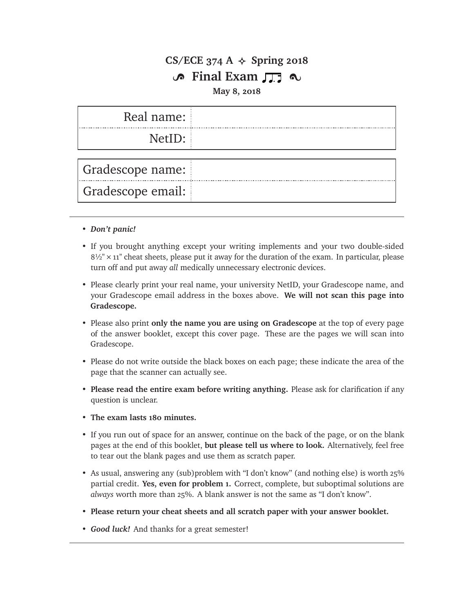### **CS/ECE 374 A**  $\leftrightarrow$  **Spring 2018 S** Final Exam  $\Pi$   $\sim$

#### **May 8, 2018**

| Real name:        |  |
|-------------------|--|
| NetID:            |  |
| Gradescope name:  |  |
| Gradescope email: |  |

- *Don't panic!*
- If you brought anything except your writing implements and your two double-sided  $8\frac{1}{2}$  × 11" cheat sheets, please put it away for the duration of the exam. In particular, please turn off and put away *all* medically unnecessary electronic devices.
- Please clearly print your real name, your university NetID, your Gradescope name, and your Gradescope email address in the boxes above. **We will not scan this page into Gradescope.**
- Please also print **only the name you are using on Gradescope** at the top of every page of the answer booklet, except this cover page. These are the pages we will scan into Gradescope.
- Please do not write outside the black boxes on each page; these indicate the area of the page that the scanner can actually see.
- **Please read the entire exam before writing anything.** Please ask for clarification if any question is unclear.
- **The exam lasts 180 minutes.**
- If you run out of space for an answer, continue on the back of the page, or on the blank pages at the end of this booklet, **but please tell us where to look.** Alternatively, feel free to tear out the blank pages and use them as scratch paper.
- As usual, answering any (sub)problem with "I don't know" (and nothing else) is worth 25% partial credit. **Yes, even for problem 1.** Correct, complete, but suboptimal solutions are *always* worth more than 25%. A blank answer is not the same as "I don't know".
- **Please return your cheat sheets and all scratch paper with your answer booklet.**
- *Good luck!* And thanks for a great semester!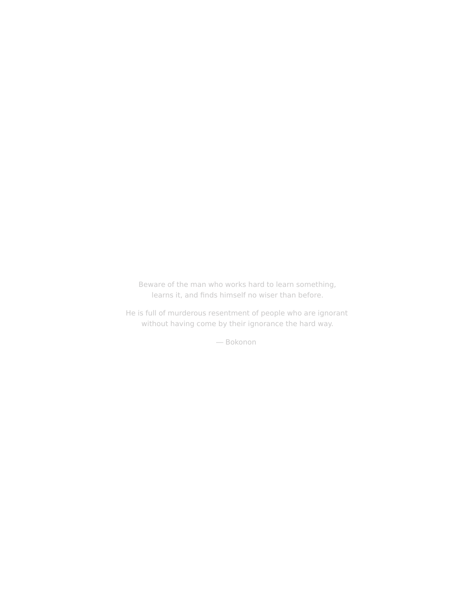Beware of the man who works hard to learn something, learns it, and finds himself no wiser than before.

He is full of murderous resentment of people who are ignorant without having come by their ignorance the hard way.

— Bokonon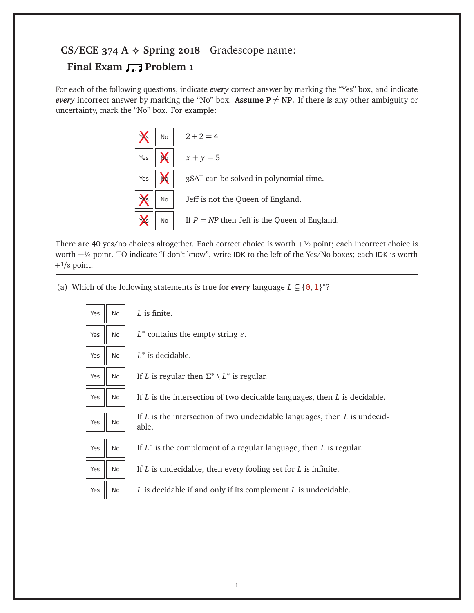## **CS/ECE 374 A**  $\triangle$  **<b>Spring 2018** Gradescope name: **Final Exam**  $\prod$  **Problem 1**

For each of the following questions, indicate *every* correct answer by marking the "Yes" box, and indicate *every* incorrect answer by marking the "No" box. **Assume P**  $\neq$  **NP.** If there is any other ambiguity or uncertainty, mark the "No" box. For example:



There are 40 yes/no choices altogether. Each correct choice is worth  $+\frac{1}{2}$  point; each incorrect choice is worth −¼ point. TO indicate "I don't know", write IDK to the left of the Yes/No boxes; each IDK is worth +1*/*<sup>8</sup> point.

(a) Which of the following statements is true for *every* language  $L \subseteq \{0, 1\}^*$ ?

| Yes | <b>No</b> | L is finite.                                                                           |
|-----|-----------|----------------------------------------------------------------------------------------|
| Yes | No        | $L^*$ contains the empty string $\varepsilon$ .                                        |
| Yes | No.       | $L^*$ is decidable.                                                                    |
| Yes | No.       | If L is regular then $\Sigma^* \setminus L^*$ is regular.                              |
| Yes | No.       | If $L$ is the intersection of two decidable languages, then $L$ is decidable.          |
| Yes | No        | If $L$ is the intersection of two undecidable languages, then $L$ is undecid-<br>able. |
| Yes | No.       | If $L^*$ is the complement of a regular language, then L is regular.                   |
| Yes | No.       | If $L$ is undecidable, then every fooling set for $L$ is infinite.                     |
| Yes | No        | L is decidable if and only if its complement $\overline{L}$ is undecidable.            |
|     |           |                                                                                        |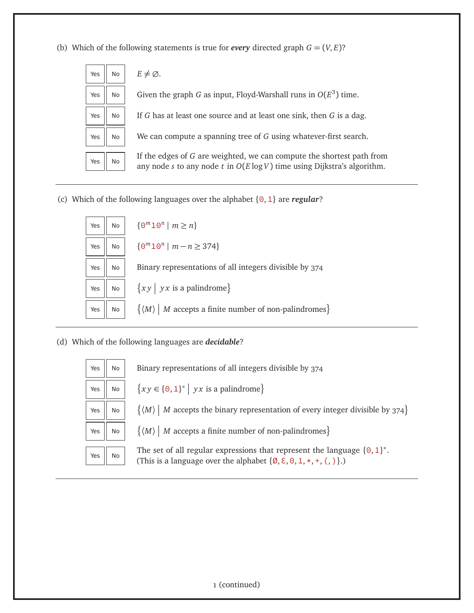(b) Which of the following statements is true for *every* directed graph  $G = (V, E)$ ?



(c) Which of the following languages over the alphabet {0,1} are *regular*?



#### (d) Which of the following languages are *decidable*?

| Yes | No | B |
|-----|----|---|
| Yes | No |   |
| Yes | No |   |
| Yes | No |   |
| Yes | No | Τ |

Binary representations of all integers divisible by 374  $Y$ es  $\begin{vmatrix} \infty & \mathbb{R} \end{vmatrix}$  No  $\begin{vmatrix} \frac{2}{3}x \end{vmatrix}$  for  $\begin{vmatrix} x \end{vmatrix}$   $\begin{vmatrix} y \end{vmatrix}$  *yx* is a palindrome  $\begin{vmatrix} y \end{vmatrix}$  $\langle M \rangle$  | *M* accepts the binary representation of every integer divisible by 374}

 $\langle M \rangle$  | *M* accepts a finite number of non-palindromes}

The set of all regular expressions that represent the language  $\{0,1\}^*$ . (This is a language over the alphabet  $\{\emptyset, \Sigma, 0, 1, \star, +, (,) \}$ .)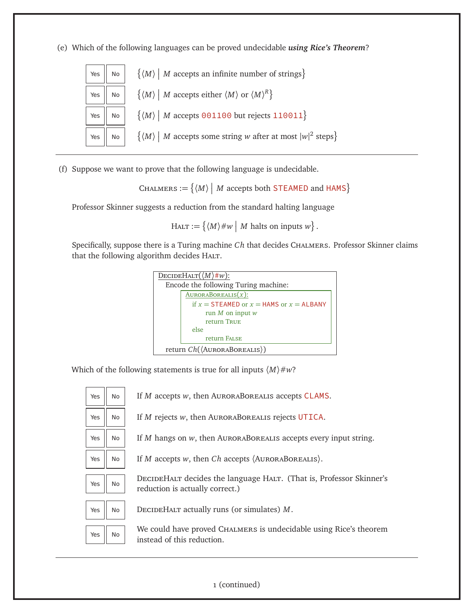(e) Which of the following languages can be proved undecidable *using Rice's Theorem*?



(f) Suppose we want to prove that the following language is undecidable.

 $\text{{\sc Chalmers}}:=\big\{\langle M\rangle\ \big|\ M\text{ accepts both STEAMED and HAMS}\big\}$ 

Professor Skinner suggests a reduction from the standard halting language

 $H_{\text{ALT}} := \{ \langle M \rangle \# w \mid M \text{ halts on inputs } w \}.$ 

Specifically, suppose there is a Turing machine *Ch* that decides CHALMERS. Professor Skinner claims that the following algorithm decides HALT.

| DECIDEHALT $(\langle M \rangle \# w)$ :        |  |
|------------------------------------------------|--|
| Encode the following Turing machine:           |  |
| $AURORABOREALIS(x)$ :                          |  |
| if $x =$ STEAMED or $x =$ HAMS or $x =$ ALBANY |  |
| run $M$ on input $w$                           |  |
| return TRUE                                    |  |
| else                                           |  |
| return FALSE                                   |  |
| return Ch((AURORABOREALIS))                    |  |

Which of the following statements is true for all inputs  $\langle M \rangle \# w$ ?

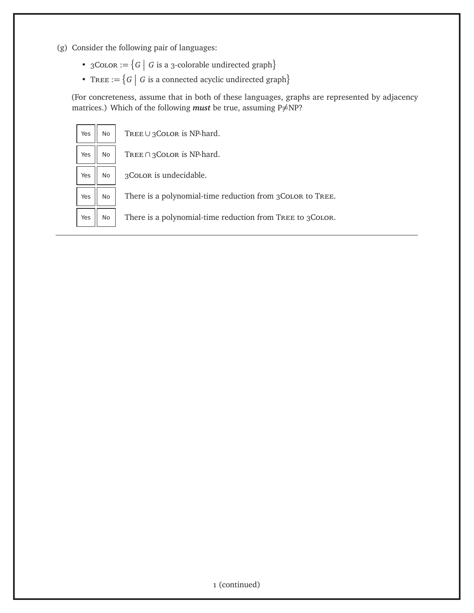- (g) Consider the following pair of languages:
	- $3 \text{Co} \text{LOR} := \{ G \mid G \text{ is a } 3 \text{-colorable undirected graph} \}$
	- TREE :=  $\{G \mid G$  is a connected acyclic undirected graph $\}$

(For concreteness, assume that in both of these languages, graphs are represented by adjacency matrices.) Which of the following *must* be true, assuming P $\neq$ NP?

| Yes | No | TREE∪3COLOR is NP-hard.                                    |
|-----|----|------------------------------------------------------------|
| Yes | No | TREE $\cap$ 3 COLOR is NP-hard.                            |
| Yes | No | 3COLOR is undecidable.                                     |
| Yes | No | There is a polynomial-time reduction from 3 COLOR to TREE. |
| Yes | No | There is a polynomial-time reduction from TREE to 3COLOR.  |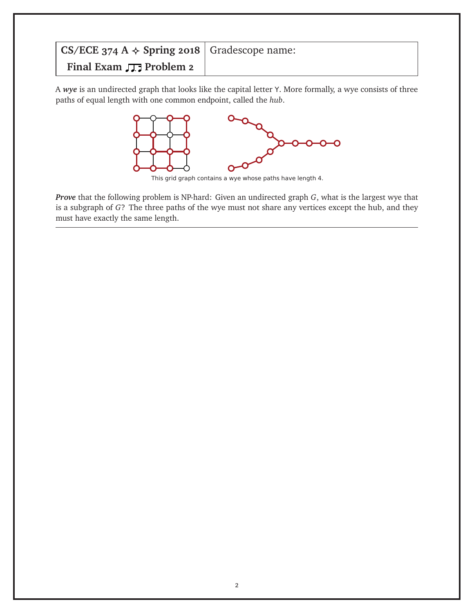## **CS/ECE 374 A**  $\triangle$  **<b>Spring 2018** Gradescope name: **Final Exam**  $\sqrt{2}$  **Problem 2**

A *wye* is an undirected graph that looks like the capital letter Y. More formally, a wye consists of three paths of equal length with one common endpoint, called the *hub*.



This grid graph contains a wye whose paths have length 4.

*Prove* that the following problem is NP-hard: Given an undirected graph *G*, what is the largest wye that is a subgraph of *G*? The three paths of the wye must not share any vertices except the hub, and they must have exactly the same length.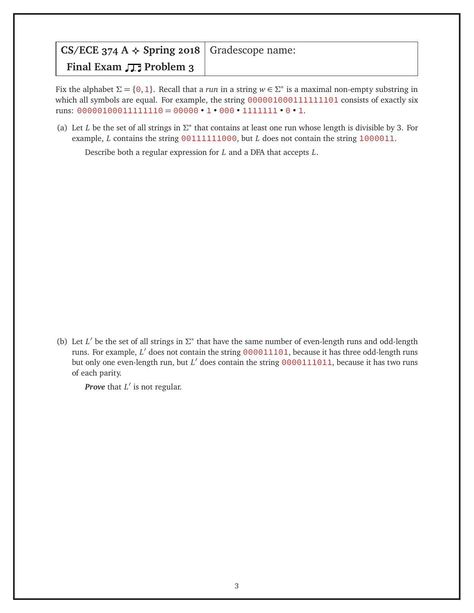| CS/ECE 374 A $\triangle$ Spring 2018   Gradescope name: |  |
|---------------------------------------------------------|--|
| Final Exam $\Box$ Problem 3                             |  |

Fix the alphabet  $\Sigma = \{0, 1\}$ . Recall that a *run* in a string  $w \in \Sigma^*$  is a maximal non-empty substring in which all symbols are equal. For example, the string 000001000111111101 consists of exactly six runs:  $00000100011111110 = 00000 \cdot 1 \cdot 000 \cdot 1111111 \cdot 0 \cdot 1$ .

(a) Let *L* be the set of all strings in  $\Sigma^*$  that contains at least one run whose length is divisible by 3. For example, *L* contains the string 00111111000, but *L* does not contain the string 1000011.

Describe both a regular expression for *L* and a DFA that accepts *L*.

(b) Let *L'* be the set of all strings in  $\Sigma^*$  that have the same number of even-length runs and odd-length runs. For example, L' does not contain the string 000011101, because it has three odd-length runs but only one even-length run, but *L'* does contain the string 0000111011, because it has two runs of each parity.

**Prove** that  $L'$  is not regular.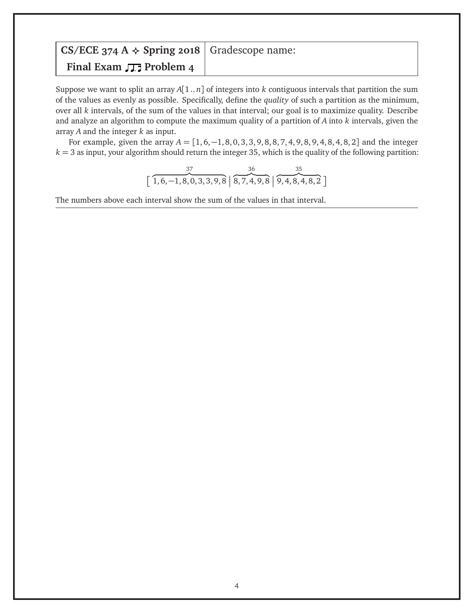# **CS/ECE 374 A**  $\triangle$  **<b>Spring 2018** Gradescope name: **Final Exam**  $\sqrt{2}$  **Problem 4**

Suppose we want to split an array *A*[1 .. *n*] of integers into *k* contiguous intervals that partition the sum of the values as evenly as possible. Specifically, define the *quality* of such a partition as the minimum, over all *k* intervals, of the sum of the values in that interval; our goal is to maximize quality. Describe and analyze an algorithm to compute the maximum quality of a partition of *A* into *k* intervals, given the array *A* and the integer *k* as input.

For example, given the array *A* = [1, 6,−1, 8, 0, 3, 3, 9, 8, 8, 7, 4, 9, 8, 9, 4, 8, 4, 8, 2] and the integer  $k = 3$  as input, your algorithm should return the integer 35, which is the quality of the following partition:

$$
\left[\overbrace{1,6,-1,8,0,3,3,9,8}^{37}\,\middle|\,\overbrace{8,7,4,9,8}^{36}\,\middle|\,\overbrace{9,4,8,4,8,2}^{35}\,\right]
$$

The numbers above each interval show the sum of the values in that interval.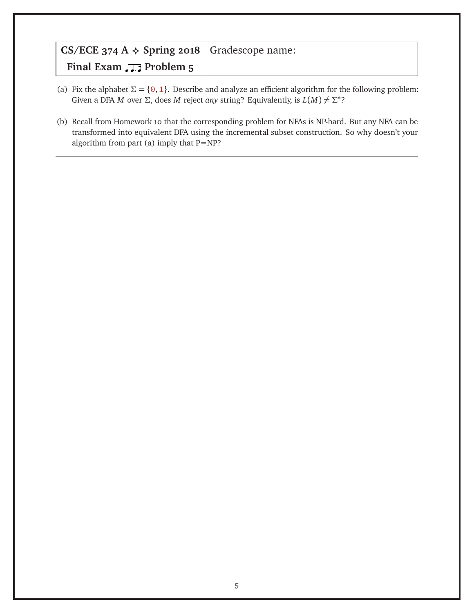| CS/ECE 374 A $\triangle$ Spring 2018   Gradescope name: |  |
|---------------------------------------------------------|--|
| Final Exam $\sqrt{2}$ Problem 5                         |  |

- (a) Fix the alphabet  $\Sigma = \{0, 1\}$ . Describe and analyze an efficient algorithm for the following problem: Given a DFA *M* over  $\Sigma$ , does *M* reject *any* string? Equivalently, is  $L(M) \neq \Sigma^*$ ?
- (b) Recall from Homework 10 that the corresponding problem for NFAs is NP-hard. But any NFA can be transformed into equivalent DFA using the incremental subset construction. So why doesn't your algorithm from part (a) imply that P=NP?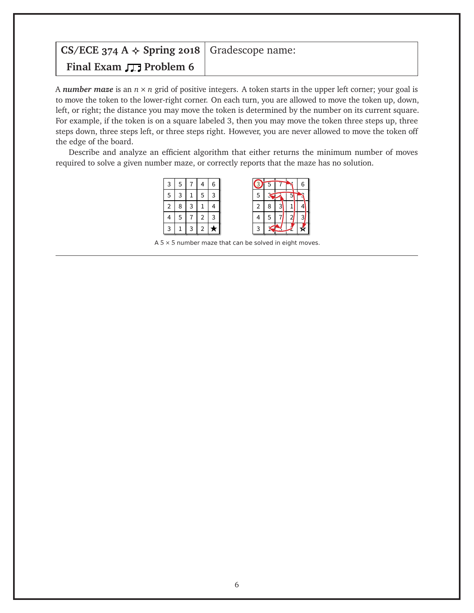## **CS/ECE 374 A**  $\triangle$  **<b>Spring 2018** Gradescope name: **Final Exam**  $\sqrt{2}$  **Problem 6**

A *number maze* is an *n* × *n* grid of positive integers. A token starts in the upper left corner; your goal is to move the token to the lower-right corner. On each turn, you are allowed to move the token up, down, left, or right; the distance you may move the token is determined by the number on its current square. For example, if the token is on a square labeled 3, then you may move the token three steps up, three steps down, three steps left, or three steps right. However, you are never allowed to move the token off the edge of the board.

Describe and analyze an efficient algorithm that either returns the minimum number of moves required to solve a given number maze, or correctly reports that the maze has no solution.



A  $5 \times 5$  number maze that can be solved in eight moves.